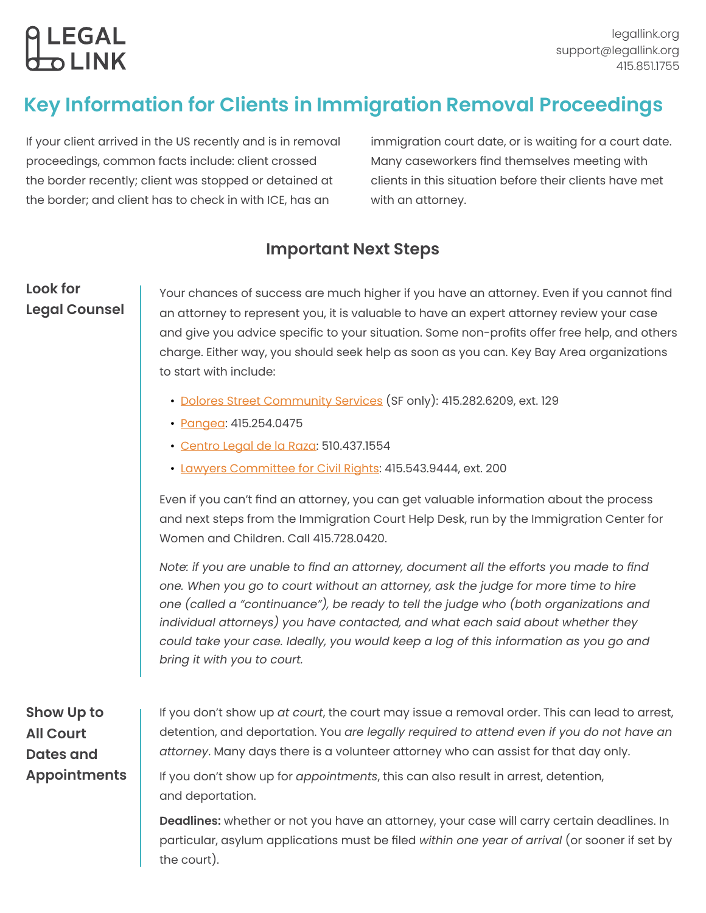# <mark>ဓု LEGAL</mark><br>တာ LINK

## **Key Information for Clients in Immigration Removal Proceedings**

If your client arrived in the US recently and is in removal proceedings, common facts include: client crossed the border recently; client was stopped or detained at the border; and client has to check in with ICE, has an

immigration court date, or is waiting for a court date. Many caseworkers find themselves meeting with clients in this situation before their clients have met with an attorney.

## **Important Next Steps**

## **Look for Legal Counsel**

Your chances of success are much higher if you have an attorney. Even if you cannot find an attorney to represent you, it is valuable to have an expert attorney review your case and give you advice specific to your situation. Some non-profits offer free help, and others charge. Either way, you should seek help as soon as you can. Key Bay Area organizations to start with include:

- [Dolores Street Community Services](https://legallink.org/referral/dolores-street-community-services-deportation-defense-and-legal-advocacy-program/) (SF only): 415.282.6209, ext. 129
- [Pangea](https://legallink.org/referral/pangea-legal-services-legal-services/): 415.254.0475
- [Centro Legal de la Raza](https://legallink.org/referral/centro-legal-de-la-raza-immigration-program/): 510.437.1554
- [Lawyers Committee for Civil Rights:](https://legallink.org/referral/lawyers-committee-for-civil-rights-legal-services-for-entrepreneurs/) 415.543.9444, ext. 200

Even if you can't find an attorney, you can get valuable information about the process and next steps from the Immigration Court Help Desk, run by the Immigration Center for Women and Children. Call 415.728.0420.

*Note: if you are unable to find an attorney, document all the efforts you made to find one. When you go to court without an attorney, ask the judge for more time to hire one (called a "continuance"), be ready to tell the judge who (both organizations and individual attorneys) you have contacted, and what each said about whether they could take your case. Ideally, you would keep a log of this information as you go and bring it with you to court.*

## **Show Up to All Court Dates and Appointments**

If you don't show up *at court*, the court may issue a removal order. This can lead to arrest, detention, and deportation. You *are legally required to attend even if you do not have an attorney*. Many days there is a volunteer attorney who can assist for that day only.

If you don't show up for *appointments*, this can also result in arrest, detention, and deportation.

**Deadlines:** whether or not you have an attorney, your case will carry certain deadlines. In particular, asylum applications must be filed *within one year of arrival* (or sooner if set by the court).